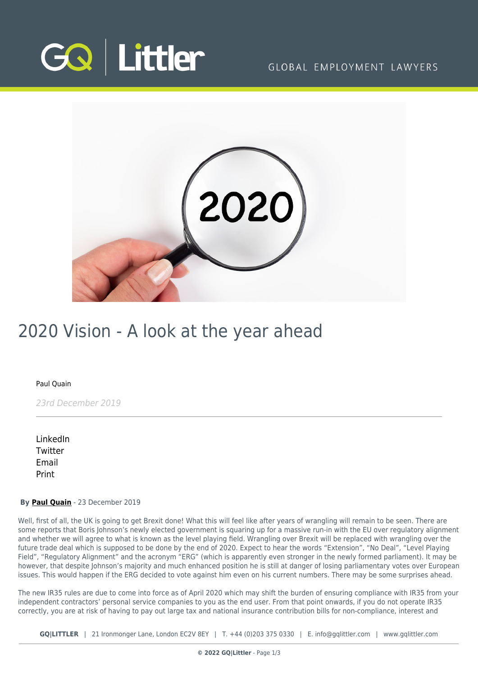

## GLOBAL EMPLOYMENT LAWYERS



# 2020 Vision - A look at the year ahead

#### [Paul Quain](https://www.gqlittler.com/about-us/the-team/paul-quain)

23rd December 2019

[LinkedIn](https://www.linkedin.com/shareArticle?mini=true&url=https%3A%2F%2Fwww.gqlittler.com%2Fresources%2Fnews-and-views%2F2020-vision-a-look-at-the-year-ahead.htm%3Funlock%3Dtrue&title=2020+Vision+-+A+look+at+the+year+ahead&summary=Well%2C+first+of+all%2C+the+UK+is+going+to+get+Brexit+done%21+What+will+feel+like+after+years+of+wrangling+will+remain+to+be+seen.&source=GQ+%7C+Littler) **[Twitter](https://twitter.com/share?text=2020+Vision+-+A+look+at+the+year+ahead&url=https%3A%2F%2Fwww.gqlittler.com%2Fresources%2Fnews-and-views%2F2020-vision-a-look-at-the-year-ahead.htm&hashtags=)** [Email](mailto:?subject=2020 Vision - A look at the year ahead&body=I) [Print](https://www.bg-pdf.co.uk/_GQ/page.php?M=6148523063484d364c793933643363755a33467361585230624756794c6d4e76625339795a584e7664584a6a5a584d76626d563363793168626d5174646d6c6c64334d764d6a41794d43313261584e706232347459533173623239724c5746304c58526f5a5331355a5746794c57466f5a57466b4c6d683062534e41497a49774d6a4167566d6c7a61573975494330675153427362323972494746304948526f5a5342355a5746794947466f5a57466b4930416a4d6a41794d43313261584e706232347459533173623239724c5746304c58526f5a5331355a5746794c57466f5a57466b)

#### **By [Paul Quain](https://www.gqlittler.com/about-us/the-team/paul-quain)** - 23 December 2019

Well, first of all, the UK is going to get Brexit done! What this will feel like after years of wrangling will remain to be seen. There are some reports that Boris Johnson's newly elected government is squaring up for a massive run-in with the EU over regulatory alignment and whether we will agree to what is known as the level playing field. Wrangling over Brexit will be replaced with wrangling over the future trade deal which is supposed to be done by the end of 2020. Expect to hear the words "Extension", "No Deal", "Level Playing Field", "Regulatory Alignment" and the acronym "ERG" (which is apparently even stronger in the newly formed parliament). It may be however, that despite Johnson's majority and much enhanced position he is still at danger of losing parliamentary votes over European issues. This would happen if the ERG decided to vote against him even on his current numbers. There may be some surprises ahead.

The new IR35 rules are due to come into force as of April 2020 which may shift the burden of ensuring compliance with IR35 from your independent contractors' personal service companies to you as the end user. From that point onwards, if you do not operate IR35 correctly, you are at risk of having to pay out large tax and national insurance contribution bills for non-compliance, interest and

**GQ|LITTLER** | 21 Ironmonger Lane, London EC2V 8EY | T. [+44 \(0\)203 375 0330](https://www.bg-pdf.co.uk/_GQ/tel:+442033750330) | E. [info@gqlittler.com](mailto:info@gqlittler.com) | [www.gqlittler.com](https://www.gqlittler.com)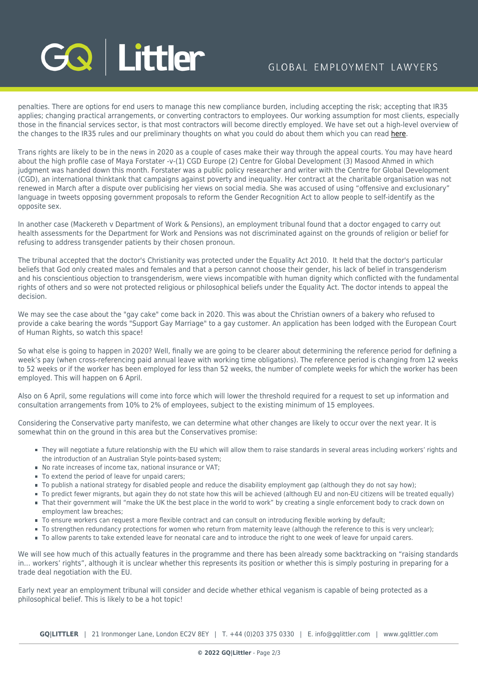# **GQ Littler**

# GLOBAL EMPLOYMENT LAWYERS

penalties. There are options for end users to manage this new compliance burden, including accepting the risk; accepting that IR35 applies; changing practical arrangements, or converting contractors to employees. Our working assumption for most clients, especially those in the financial services sector, is that most contractors will become directly employed. We have set out a high-level overview of the changes to the IR35 rules and our preliminary thoughts on what you could do about them which you can read [here.](https://www.gqlittler.com/resources/news-and-views/ir35-special-report.htm)

Trans rights are likely to be in the news in 2020 as a couple of cases make their way through the appeal courts. You may have heard about the high profile case of Maya Forstater -v-(1) CGD Europe (2) Centre for Global Development (3) Masood Ahmed in which judgment was handed down this month. Forstater was a public policy researcher and writer with the Centre for Global Development (CGD), an international thinktank that campaigns against poverty and inequality. Her contract at the charitable organisation was not renewed in March after a dispute over publicising her views on social media. She was accused of using "offensive and exclusionary" language in tweets opposing government proposals to reform the Gender Recognition Act to allow people to self-identify as the opposite sex.

In another case (Mackereth v Department of Work & Pensions), an employment tribunal found that a doctor engaged to carry out health assessments for the Department for Work and Pensions was not discriminated against on the grounds of religion or belief for refusing to address transgender patients by their chosen pronoun.

The tribunal accepted that the doctor's Christianity was protected under the Equality Act 2010. It held that the doctor's particular beliefs that God only created males and females and that a person cannot choose their gender, his lack of belief in transgenderism and his conscientious objection to transgenderism, were views incompatible with human dignity which conflicted with the fundamental rights of others and so were not protected religious or philosophical beliefs under the Equality Act. The doctor intends to appeal the decision.

We may see the case about the "gay cake" come back in 2020. This was about the Christian owners of a bakery who refused to provide a cake bearing the words "Support Gay Marriage" to a gay customer. An application has been lodged with the European Court of Human Rights, so watch this space!

So what else is going to happen in 2020? Well, finally we are going to be clearer about determining the reference period for defining a week's pay (when cross-referencing paid annual leave with working time obligations). The reference period is changing from 12 weeks to 52 weeks or if the worker has been employed for less than 52 weeks, the number of complete weeks for which the worker has been employed. This will happen on 6 April.

Also on 6 April, some regulations will come into force which will lower the threshold required for a request to set up information and consultation arrangements from 10% to 2% of employees, subject to the existing minimum of 15 employees.

Considering the Conservative party manifesto, we can determine what other changes are likely to occur over the next year. It is somewhat thin on the ground in this area but the Conservatives promise:

- They will negotiate a future relationship with the EU which will allow them to raise standards in several areas including workers' rights and the introduction of an Australian Style points-based system;
- No rate increases of income tax, national insurance or VAT;
- To extend the period of leave for unpaid carers:
- To publish a national strategy for disabled people and reduce the disability employment gap (although they do not say how);
- To predict fewer migrants, but again they do not state how this will be achieved (although EU and non-EU citizens will be treated equally) That their government will "make the UK the best place in the world to work" by creating a single enforcement body to crack down on employment law breaches;
- To ensure workers can request a more flexible contract and can consult on introducing flexible working by default;
- To strengthen redundancy protections for women who return from maternity leave (although the reference to this is very unclear);
- $\blacksquare$  To allow parents to take extended leave for neonatal care and to introduce the right to one week of leave for unpaid carers.

We will see how much of this actually features in the programme and there has been already some backtracking on "raising standards in… workers' rights", although it is unclear whether this represents its position or whether this is simply posturing in preparing for a trade deal negotiation with the EU.

Early next year an employment tribunal will consider and decide whether ethical veganism is capable of being protected as a philosophical belief. This is likely to be a hot topic!

**GQ|LITTLER** | 21 Ironmonger Lane, London EC2V 8EY | T. [+44 \(0\)203 375 0330](https://www.bg-pdf.co.uk/_GQ/tel:+442033750330) | E. [info@gqlittler.com](mailto:info@gqlittler.com) | [www.gqlittler.com](https://www.gqlittler.com)